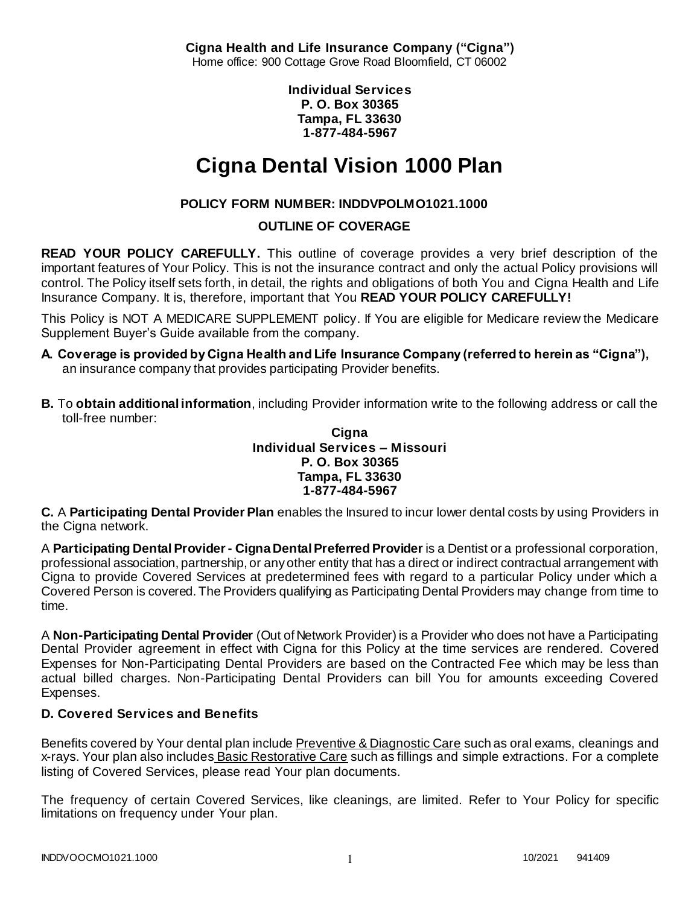**Cigna Health and Life Insurance Company ("Cigna")** Home office: 900 Cottage Grove Road Bloomfield, CT 06002

> **Individual Services P. O. Box 30365 Tampa, FL 33630 1-877-484-5967**

# **Cigna Dental Vision 1000 Plan**

# **POLICY FORM NUMBER: INDDVPOLMO1021.1000**

**OUTLINE OF COVERAGE** 

**READ YOUR POLICY CAREFULLY.** This outline of coverage provides a very brief description of the important features of Your Policy. This is not the insurance contract and only the actual Policy provisions will control. The Policy itself sets forth, in detail, the rights and obligations of both You and Cigna Health and Life Insurance Company. It is, therefore, important that You **READ YOUR POLICY CAREFULLY!** 

This Policy is NOT A MEDICARE SUPPLEMENT policy. If You are eligible for Medicare review the Medicare Supplement Buyer's Guide available from the company.

- **A. Coverage is provided by Cigna Health and Life Insurance Company (referred to herein as "Cigna"),**  an insurance company that provides participating Provider benefits.
- **B.** To **obtain additional information**, including Provider information write to the following address or call the toll-free number:

**Cigna Individual Services – Missouri P. O. Box 30365 Tampa, FL 33630 1-877-484-5967**

**C.** A **Participating Dental Provider Plan** enables the Insured to incur lower dental costs by using Providers in the Cigna network.

A **Participating Dental Provider - Cigna Dental Preferred Provider** is a Dentist or a professional corporation, professional association, partnership, or any other entity that has a direct or indirect contractual arrangement with Cigna to provide Covered Services at predetermined fees with regard to a particular Policy under which a Covered Person is covered. The Providers qualifying as Participating Dental Providers may change from time to time.

A **Non-Participating Dental Provider** (Out of Network Provider) is a Provider who does not have a Participating Dental Provider agreement in effect with Cigna for this Policy at the time services are rendered. Covered Expenses for Non-Participating Dental Providers are based on the Contracted Fee which may be less than actual billed charges. Non-Participating Dental Providers can bill You for amounts exceeding Covered Expenses.

# **D. Covered Services and Benefits**

Benefits covered by Your dental plan include Preventive & Diagnostic Care such as oral exams, cleanings and x-rays. Your plan also includes Basic Restorative Care such as fillings and simple extractions. For a complete listing of Covered Services, please read Your plan documents.

The frequency of certain Covered Services, like cleanings, are limited. Refer to Your Policy for specific limitations on frequency under Your plan.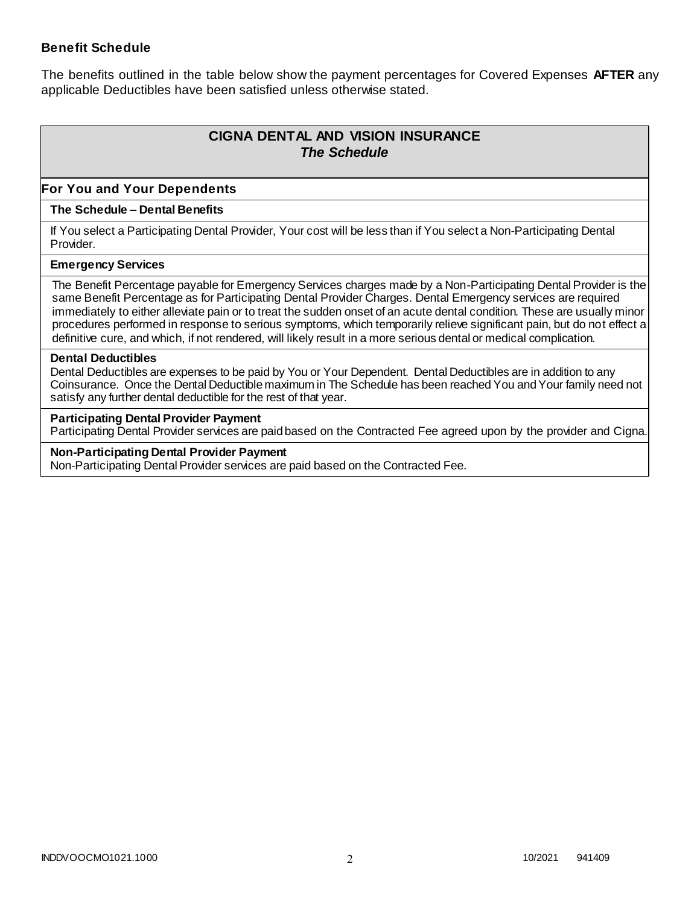## **Benefit Schedule**

The benefits outlined in the table below show the payment percentages for Covered Expenses **AFTER** any applicable Deductibles have been satisfied unless otherwise stated.

# **CIGNA DENTAL AND VISION INSURANCE** *The Schedule*

## **For You and Your Dependents**

#### **The Schedule – Dental Benefits**

If You select a Participating Dental Provider, Your cost will be less than if You select a Non-Participating Dental Provider.

#### **Emergency Services**

The Benefit Percentage payable for Emergency Services charges made by a Non-Participating Dental Provider is the same Benefit Percentage as for Participating Dental Provider Charges. Dental Emergency services are required immediately to either alleviate pain or to treat the sudden onset of an acute dental condition. These are usually minor procedures performed in response to serious symptoms, which temporarily relieve significant pain, but do not effect a definitive cure, and which, if not rendered, will likely result in a more serious dental or medical complication.

#### **Dental Deductibles**

Dental Deductibles are expenses to be paid by You or Your Dependent. Dental Deductibles are in addition to any Coinsurance. Once the Dental Deductible maximum in The Schedule has been reached You and Your family need not satisfy any further dental deductible for the rest of that year.

#### **Participating Dental Provider Payment**

Participating Dental Provider services are paid based on the Contracted Fee agreed upon by the provider and Cigna.

**Non-Participating Dental Provider Payment** Non-Participating Dental Provider services are paid based on the Contracted Fee.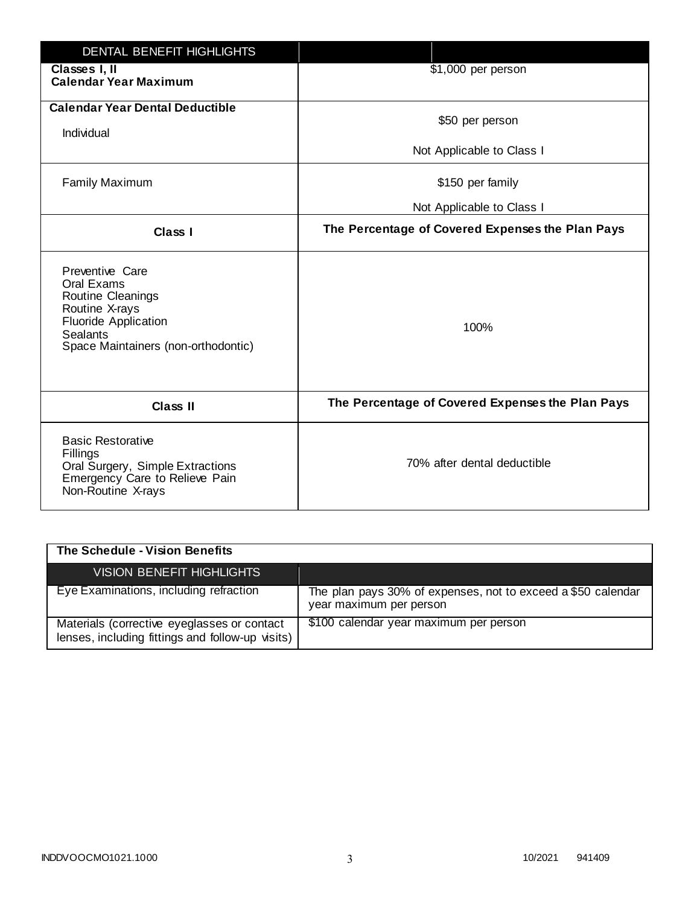| DENTAL BENEFIT HIGHLIGHTS                                                                                                                                     |                                                  |
|---------------------------------------------------------------------------------------------------------------------------------------------------------------|--------------------------------------------------|
| Classes I, II<br><b>Calendar Year Maximum</b>                                                                                                                 | \$1,000 per person                               |
| <b>Calendar Year Dental Deductible</b><br>Individual                                                                                                          | \$50 per person                                  |
|                                                                                                                                                               | Not Applicable to Class I                        |
| <b>Family Maximum</b>                                                                                                                                         | \$150 per family                                 |
|                                                                                                                                                               | Not Applicable to Class I                        |
| <b>Class I</b>                                                                                                                                                | The Percentage of Covered Expenses the Plan Pays |
| Preventive Care<br>Oral Exams<br>Routine Cleanings<br>Routine X-rays<br><b>Fluoride Application</b><br><b>Sealants</b><br>Space Maintainers (non-orthodontic) | 100%                                             |
| <b>Class II</b>                                                                                                                                               | The Percentage of Covered Expenses the Plan Pays |
| <b>Basic Restorative</b><br>Fillings<br>Oral Surgery, Simple Extractions<br>Emergency Care to Relieve Pain<br>Non-Routine X-rays                              | 70% after dental deductible                      |

| The Schedule - Vision Benefits                                                                  |                                                                                         |
|-------------------------------------------------------------------------------------------------|-----------------------------------------------------------------------------------------|
| <b>VISION BENEFIT HIGHLIGHTS,</b>                                                               |                                                                                         |
| Eye Examinations, including refraction                                                          | The plan pays 30% of expenses, not to exceed a \$50 calendar<br>year maximum per person |
| Materials (corrective eyeglasses or contact<br>lenses, including fittings and follow-up visits) | \$100 calendar year maximum per person                                                  |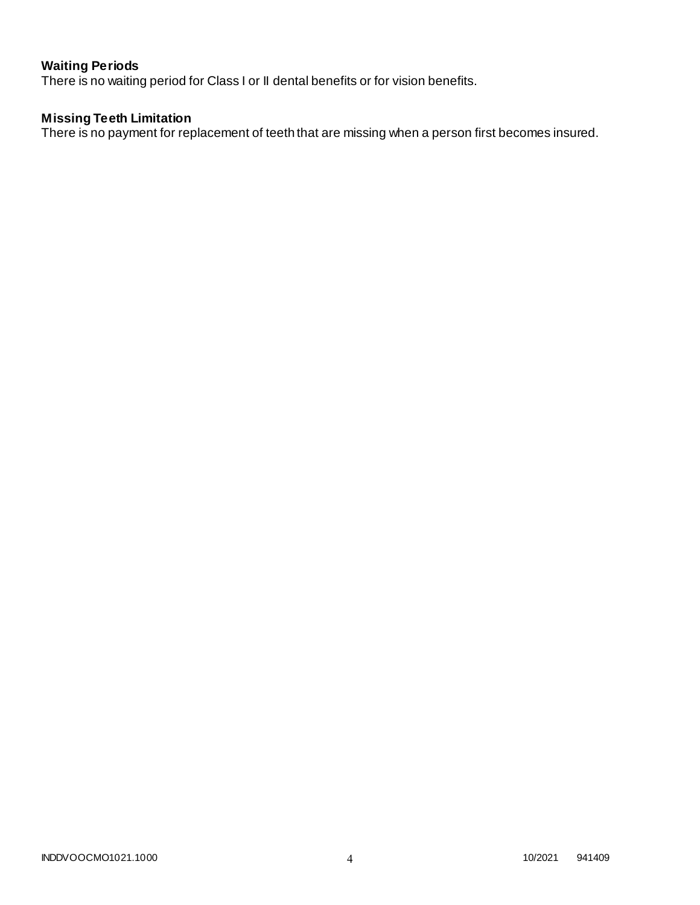# **Waiting Periods**

There is no waiting period for Class I or II dental benefits or for vision benefits.

## **Missing Teeth Limitation**

There is no payment for replacement of teeth that are missing when a person first becomes insured.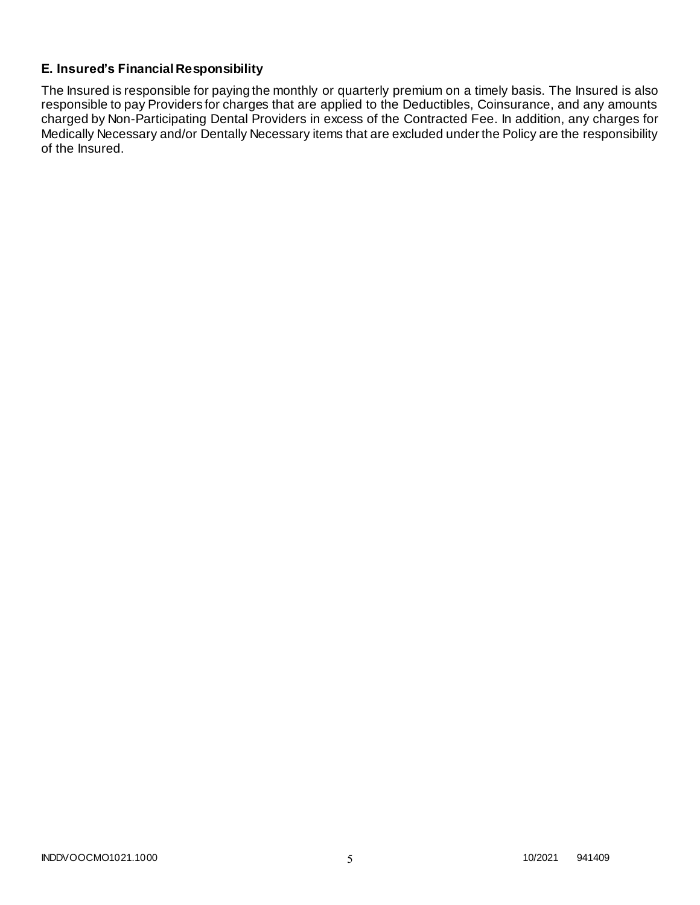# **E. Insured's Financial Responsibility**

The Insured is responsible for paying the monthly or quarterly premium on a timely basis. The Insured is also responsible to pay Providers for charges that are applied to the Deductibles, Coinsurance, and any amounts charged by Non-Participating Dental Providers in excess of the Contracted Fee. In addition, any charges for Medically Necessary and/or Dentally Necessary items that are excluded under the Policy are the responsibility of the Insured.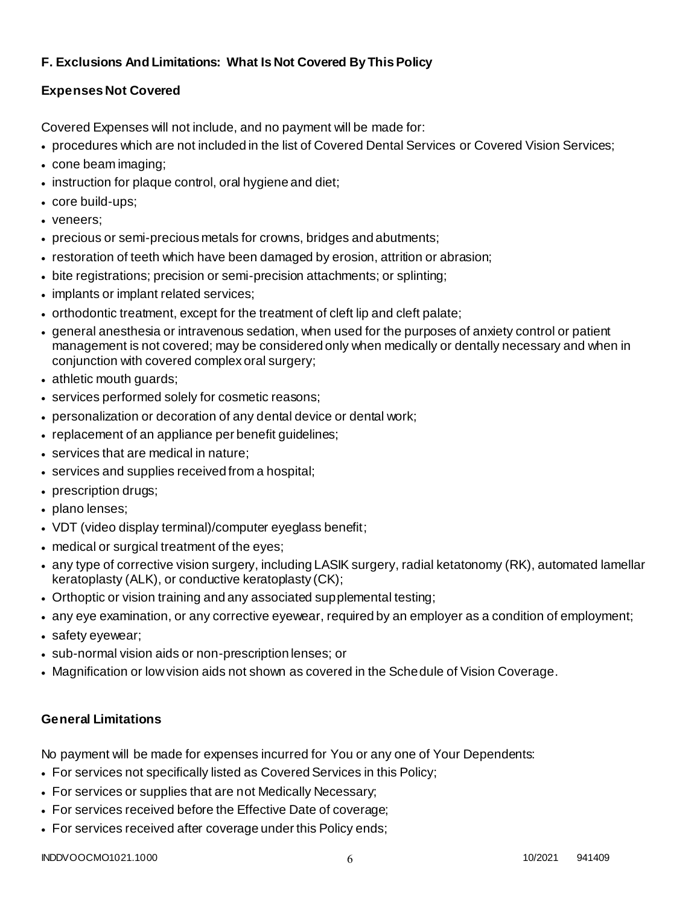# **F. Exclusions And Limitations: What Is Not Covered By This Policy**

# **Expenses Not Covered**

Covered Expenses will not include, and no payment will be made for:

- procedures which are not included in the list of Covered Dental Services or Covered Vision Services;
- cone beam imaging;
- instruction for plaque control, oral hygiene and diet;
- core build-ups;
- veneers;
- precious or semi-precious metals for crowns, bridges and abutments;
- restoration of teeth which have been damaged by erosion, attrition or abrasion;
- bite registrations; precision or semi-precision attachments; or splinting;
- implants or implant related services;
- orthodontic treatment, except for the treatment of cleft lip and cleft palate;
- general anesthesia or intravenous sedation, when used for the purposes of anxiety control or patient management is not covered; may be considered only when medically or dentally necessary and when in conjunction with covered complex oral surgery;
- athletic mouth guards;
- services performed solely for cosmetic reasons;
- personalization or decoration of any dental device or dental work;
- replacement of an appliance per benefit quidelines;
- services that are medical in nature;
- services and supplies received from a hospital;
- prescription drugs;
- plano lenses;
- VDT (video display terminal)/computer eyeglass benefit;
- medical or surgical treatment of the eyes;
- any type of corrective vision surgery, including LASIK surgery, radial ketatonomy (RK), automated lamellar keratoplasty (ALK), or conductive keratoplasty (CK);
- Orthoptic or vision training and any associated supplemental testing;
- any eye examination, or any corrective eyewear, required by an employer as a condition of employment;
- safety eyewear;
- sub-normal vision aids or non-prescription lenses; or
- Magnification or low vision aids not shown as covered in the Schedule of Vision Coverage.

# **General Limitations**

No payment will be made for expenses incurred for You or any one of Your Dependents:

- For services not specifically listed as Covered Services in this Policy;
- For services or supplies that are not Medically Necessary;
- For services received before the Effective Date of coverage;
- For services received after coverage under this Policy ends;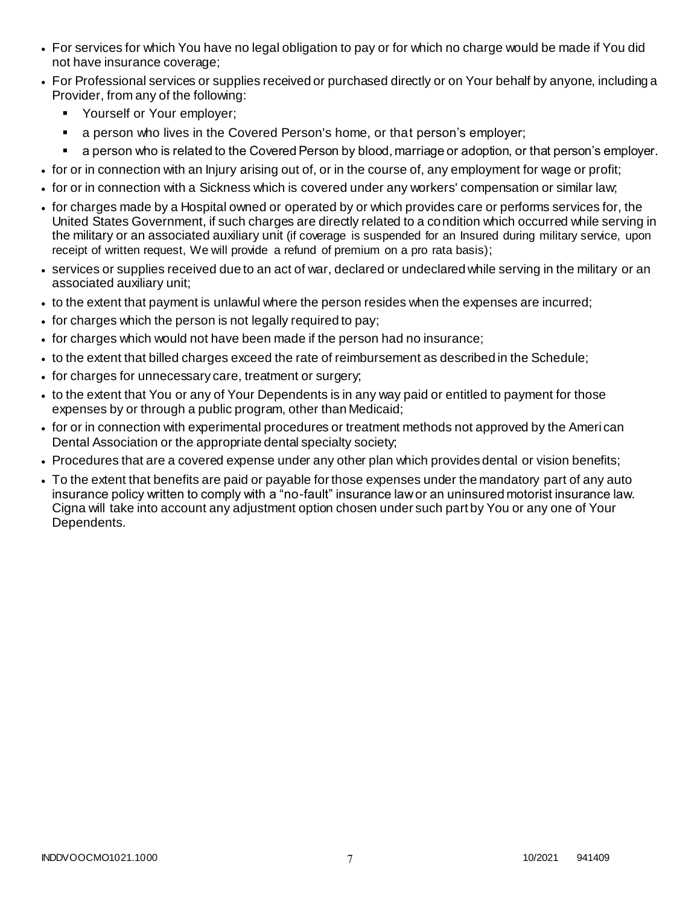- For services for which You have no legal obligation to pay or for which no charge would be made if You did not have insurance coverage;
- For Professional services or supplies received or purchased directly or on Your behalf by anyone, including a Provider, from any of the following:
	- **Yourself or Your employer;**
	- a person who lives in the Covered Person's home, or that person's employer;
	- a person who is related to the Covered Person by blood, marriage or adoption, or that person's employer.
- for or in connection with an Injury arising out of, or in the course of, any employment for wage or profit;
- for or in connection with a Sickness which is covered under any workers' compensation or similar law;
- for charges made by a Hospital owned or operated by or which provides care or performs services for, the United States Government, if such charges are directly related to a condition which occurred while serving in the military or an associated auxiliary unit (if coverage is suspended for an Insured during military service, upon receipt of written request, We will provide a refund of premium on a pro rata basis);
- services or supplies received due to an act of war, declared or undeclared while serving in the military or an associated auxiliary unit;
- to the extent that payment is unlawful where the person resides when the expenses are incurred;
- for charges which the person is not legally required to pay;
- for charges which would not have been made if the person had no insurance;
- to the extent that billed charges exceed the rate of reimbursement as described in the Schedule;
- for charges for unnecessary care, treatment or surgery;
- to the extent that You or any of Your Dependents is in any way paid or entitled to payment for those expenses by or through a public program, other than Medicaid;
- for or in connection with experimental procedures or treatment methods not approved by the American Dental Association or the appropriate dental specialty society;
- Procedures that are a covered expense under any other plan which provides dental or vision benefits;
- To the extent that benefits are paid or payable for those expenses under the mandatory part of any auto insurance policy written to comply with a "no-fault" insurance law or an uninsured motorist insurance law. Cigna will take into account any adjustment option chosen under such part by You or any one of Your Dependents.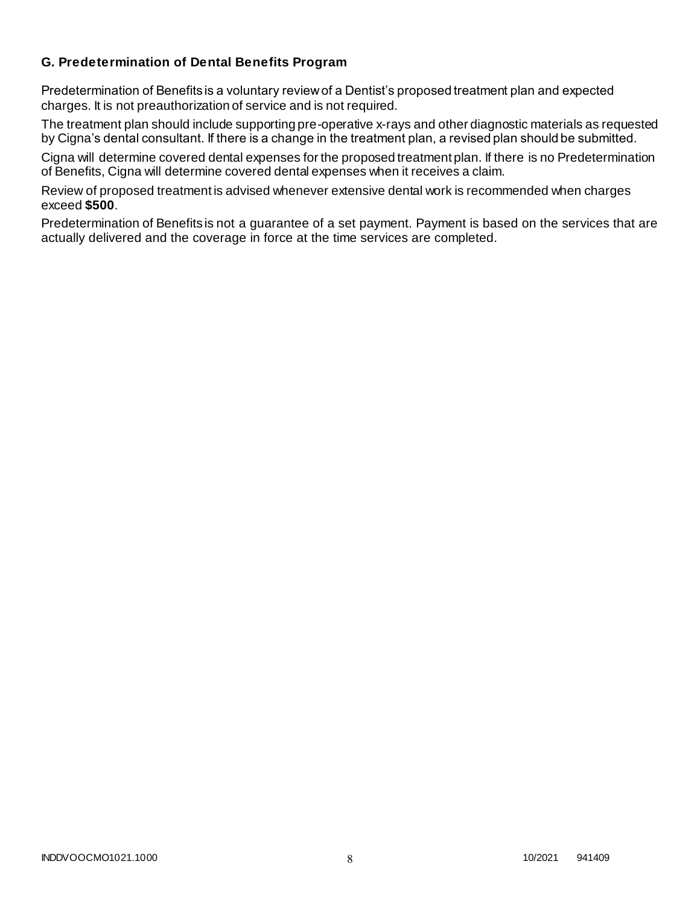## **G. Predetermination of Dental Benefits Program**

Predetermination of Benefits is a voluntary review of a Dentist's proposed treatment plan and expected charges. It is not preauthorization of service and is not required.

The treatment plan should include supporting pre-operative x-rays and other diagnostic materials as requested by Cigna's dental consultant. If there is a change in the treatment plan, a revised plan should be submitted.

Cigna will determine covered dental expenses for the proposed treatment plan. If there is no Predetermination of Benefits, Cigna will determine covered dental expenses when it receives a claim.

Review of proposed treatment is advised whenever extensive dental work is recommended when charges exceed **\$500**.

Predetermination of Benefits is not a guarantee of a set payment. Payment is based on the services that are actually delivered and the coverage in force at the time services are completed.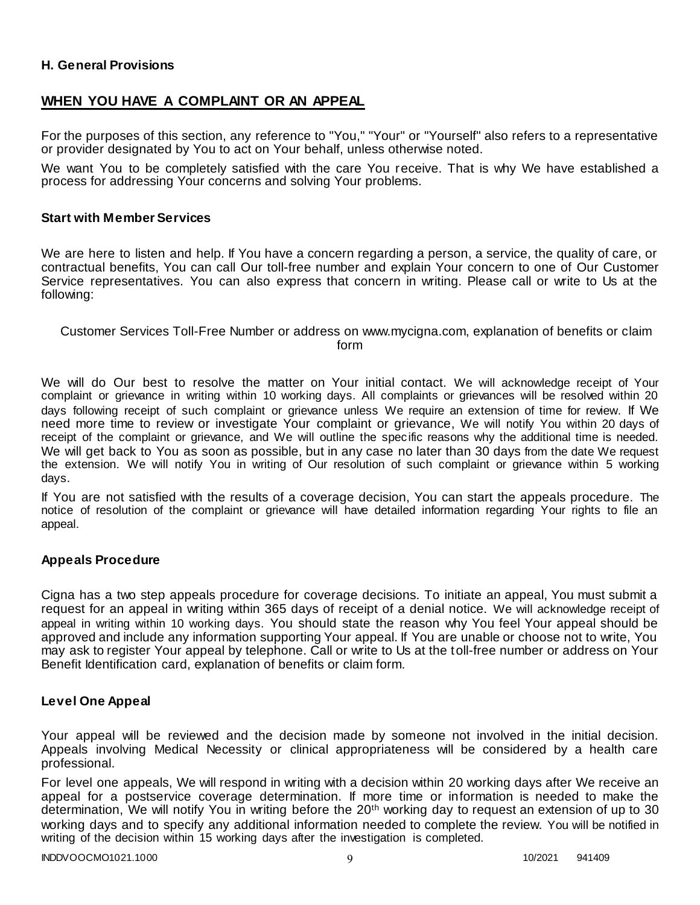## **H. General Provisions**

## **WHEN YOU HAVE A COMPLAINT OR AN APPEAL**

For the purposes of this section, any reference to "You," "Your" or "Yourself" also refers to a representative or provider designated by You to act on Your behalf, unless otherwise noted.

We want You to be completely satisfied with the care You receive. That is why We have established a process for addressing Your concerns and solving Your problems.

#### **Start with Member Services**

We are here to listen and help. If You have a concern regarding a person, a service, the quality of care, or contractual benefits, You can call Our toll-free number and explain Your concern to one of Our Customer Service representatives. You can also express that concern in writing. Please call or write to Us at the following:

#### Customer Services Toll-Free Number or address on www.mycigna.com, explanation of benefits or claim form

We will do Our best to resolve the matter on Your initial contact. We will acknowledge receipt of Your complaint or grievance in writing within 10 working days. All complaints or grievances will be resolved within 20 days following receipt of such complaint or grievance unless We require an extension of time for review. If We need more time to review or investigate Your complaint or grievance, We will notify You within 20 days of receipt of the complaint or grievance, and We will outline the specific reasons why the additional time is needed. We will get back to You as soon as possible, but in any case no later than 30 days from the date We request the extension. We will notify You in writing of Our resolution of such complaint or grievance within 5 working days.

If You are not satisfied with the results of a coverage decision, You can start the appeals procedure. The notice of resolution of the complaint or grievance will have detailed information regarding Your rights to file an appeal.

#### **Appeals Procedure**

Cigna has a two step appeals procedure for coverage decisions. To initiate an appeal, You must submit a request for an appeal in writing within 365 days of receipt of a denial notice. We will acknowledge receipt of appeal in writing within 10 working days. You should state the reason why You feel Your appeal should be approved and include any information supporting Your appeal. If You are unable or choose not to write, You may ask to register Your appeal by telephone. Call or write to Us at the toll-free number or address on Your Benefit Identification card, explanation of benefits or claim form.

#### **Level One Appeal**

Your appeal will be reviewed and the decision made by someone not involved in the initial decision. Appeals involving Medical Necessity or clinical appropriateness will be considered by a health care professional.

For level one appeals, We will respond in writing with a decision within 20 working days after We receive an appeal for a postservice coverage determination. If more time or information is needed to make the determination, We will notify You in writing before the 20<sup>th</sup> working day to request an extension of up to 30 working days and to specify any additional information needed to complete the review. You will be notified in writing of the decision within 15 working days after the investigation is completed.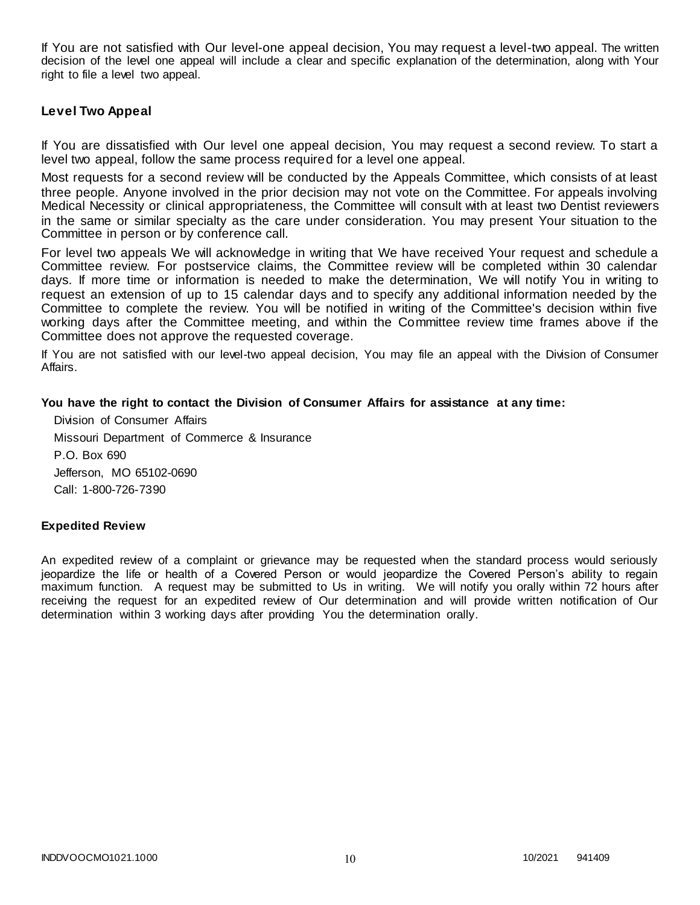If You are not satisfied with Our level-one appeal decision, You may request a level-two appeal. The written decision of the level one appeal will include a clear and specific explanation of the determination, along with Your right to file a level two appeal.

#### **Level Two Appeal**

If You are dissatisfied with Our level one appeal decision, You may request a second review. To start a level two appeal, follow the same process required for a level one appeal.

Most requests for a second review will be conducted by the Appeals Committee, which consists of at least three people. Anyone involved in the prior decision may not vote on the Committee. For appeals involving Medical Necessity or clinical appropriateness, the Committee will consult with at least two Dentist reviewers in the same or similar specialty as the care under consideration. You may present Your situation to the Committee in person or by conference call.

For level two appeals We will acknowledge in writing that We have received Your request and schedule a Committee review. For postservice claims, the Committee review will be completed within 30 calendar days. If more time or information is needed to make the determination, We will notify You in writing to request an extension of up to 15 calendar days and to specify any additional information needed by the Committee to complete the review. You will be notified in writing of the Committee's decision within five working days after the Committee meeting, and within the Committee review time frames above if the Committee does not approve the requested coverage.

If You are not satisfied with our level-two appeal decision, You may file an appeal with the Division of Consumer Affairs.

#### **You have the right to contact the Division of Consumer Affairs for assistance at any time:**

Division of Consumer Affairs Missouri Department of Commerce & Insurance P.O. Box 690 Jefferson, MO 65102-0690 Call: 1-800-726-7390

#### **Expedited Review**

An expedited review of a complaint or grievance may be requested when the standard process would seriously jeopardize the life or health of a Covered Person or would jeopardize the Covered Person's ability to regain maximum function. A request may be submitted to Us in writing. We will notify you orally within 72 hours after receiving the request for an expedited review of Our determination and will provide written notification of Our determination within 3 working days after providing You the determination orally.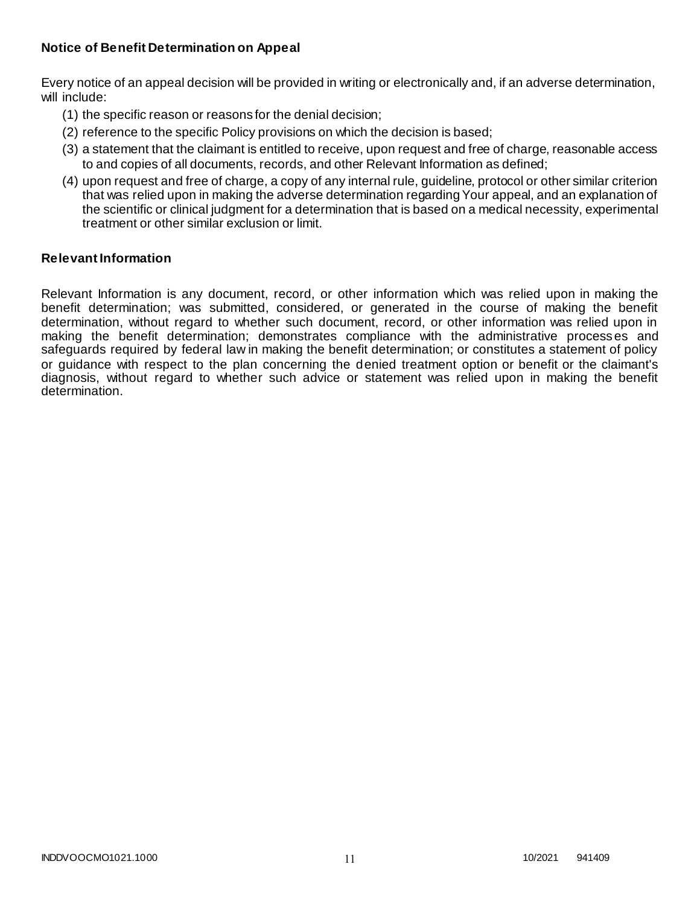## **Notice of Benefit Determination on Appeal**

Every notice of an appeal decision will be provided in writing or electronically and, if an adverse determination, will include:

- (1) the specific reason or reasons for the denial decision;
- (2) reference to the specific Policy provisions on which the decision is based;
- (3) a statement that the claimant is entitled to receive, upon request and free of charge, reasonable access to and copies of all documents, records, and other Relevant Information as defined;
- (4) upon request and free of charge, a copy of any internal rule, guideline, protocol or other similar criterion that was relied upon in making the adverse determination regarding Your appeal, and an explanation of the scientific or clinical judgment for a determination that is based on a medical necessity, experimental treatment or other similar exclusion or limit.

## **Relevant Information**

Relevant Information is any document, record, or other information which was relied upon in making the benefit determination; was submitted, considered, or generated in the course of making the benefit determination, without regard to whether such document, record, or other information was relied upon in making the benefit determination; demonstrates compliance with the administrative processes and safeguards required by federal law in making the benefit determination; or constitutes a statement of policy or guidance with respect to the plan concerning the denied treatment option or benefit or the claimant's diagnosis, without regard to whether such advice or statement was relied upon in making the benefit determination.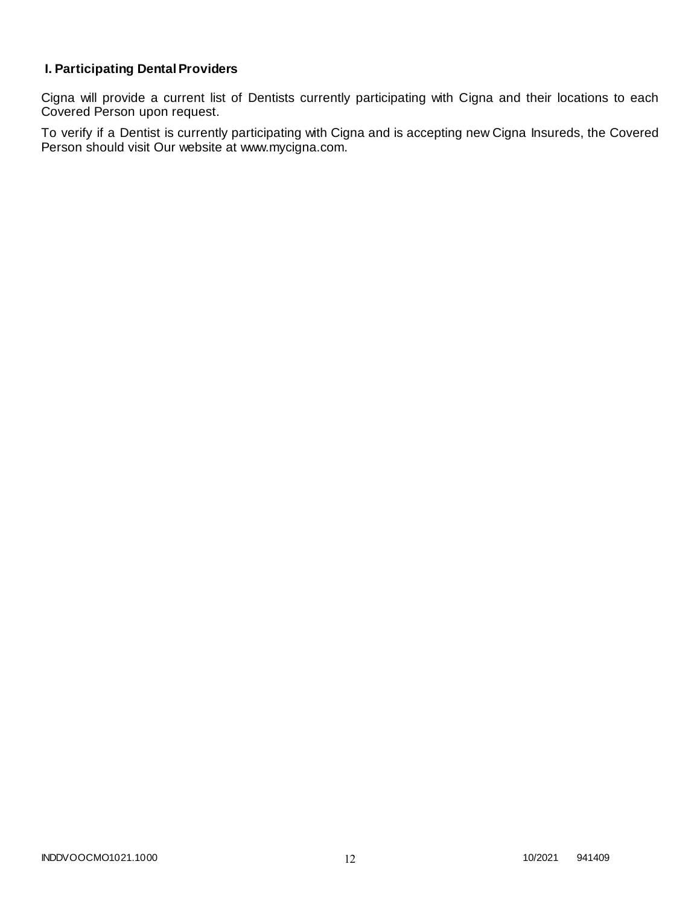# **I. Participating Dental Providers**

Cigna will provide a current list of Dentists currently participating with Cigna and their locations to each Covered Person upon request.

To verify if a Dentist is currently participating with Cigna and is accepting new Cigna Insureds, the Covered Person should visit Our website at www.mycigna.com.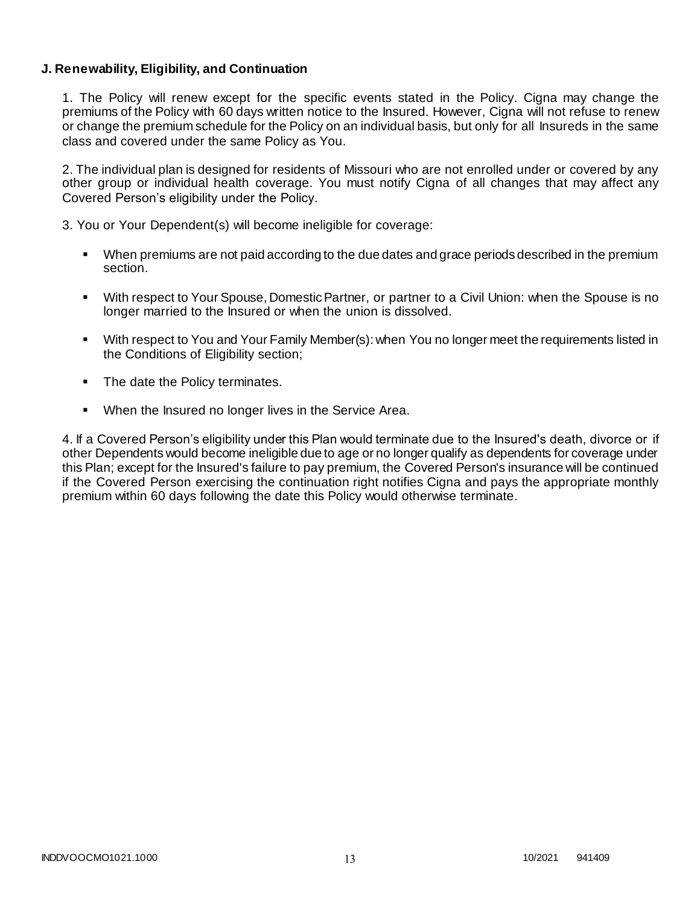## **J. Renewability, Eligibility, and Continuation**

1. The Policy will renew except for the specific events stated in the Policy. Cigna may change the premiums of the Policy with 60 days written notice to the Insured. However, Cigna will not refuse to renew or change the premium schedule for the Policy on an individual basis, but only for all Insureds in the same class and covered under the same Policy as You.

2. The individual plan is designed for residents of Missouri who are not enrolled under or covered by any other group or individual health coverage. You must notify Cigna of all changes that may affect any Covered Person's eligibility under the Policy.

3. You or Your Dependent(s) will become ineligible for coverage:

- When premiums are not paid according to the due dates and grace periods described in the premium section.
- With respect to Your Spouse, Domestic Partner, or partner to a Civil Union: when the Spouse is no longer married to the Insured or when the union is dissolved.
- With respect to You and Your Family Member(s): when You no longer meet the requirements listed in the Conditions of Eligibility section;
- The date the Policy terminates.
- When the Insured no longer lives in the Service Area.

4. If a Covered Person's eligibility under this Plan would terminate due to the Insured's death, divorce or if other Dependents would become ineligible due to age or no longer qualify as dependents for coverage under this Plan; except for the Insured's failure to pay premium, the Covered Person's insurance will be continued if the Covered Person exercising the continuation right notifies Cigna and pays the appropriate monthly premium within 60 days following the date this Policy would otherwise terminate.